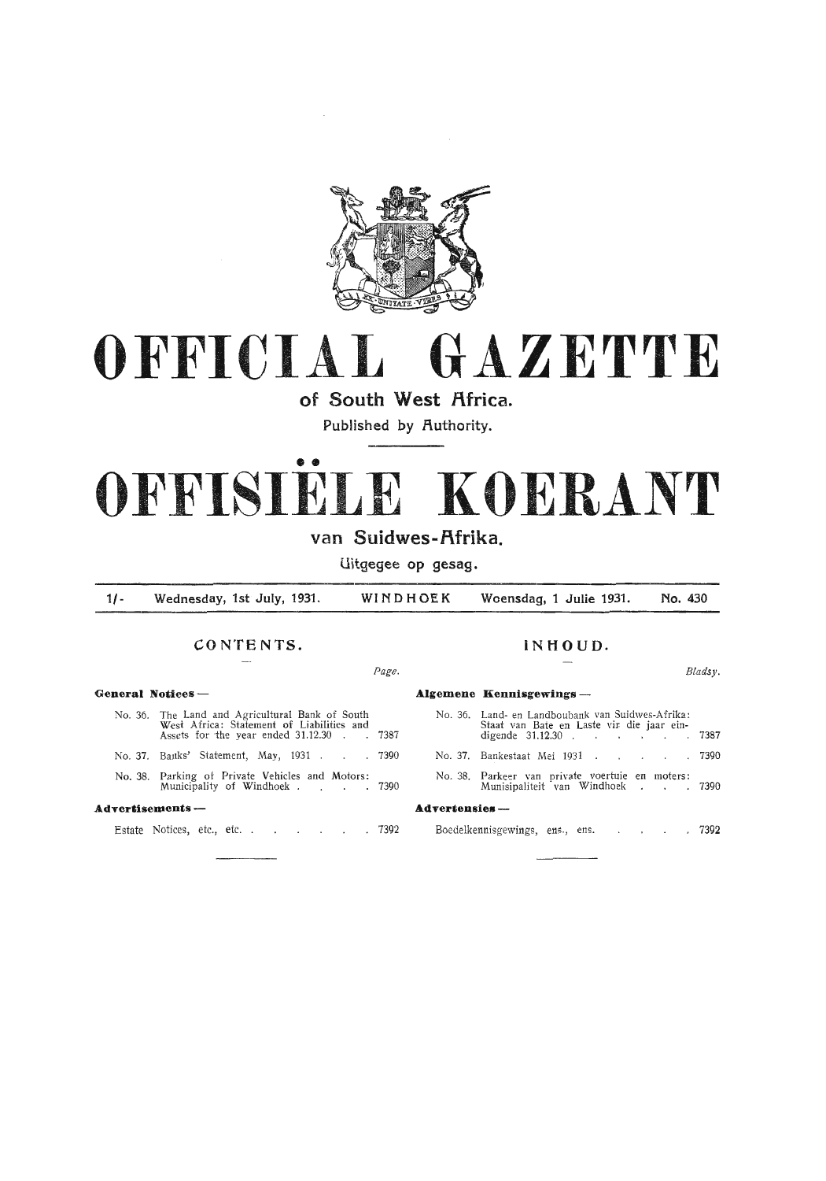

## **OFFICIAL GAZETTE**

**of South West Africa.** 

Published by **Authority**.

# • • **OFFISIELE KOERANT**

## **van Suidwes-f\frika.**

**Uitgegee op gesag.** 

**1/- Wednesday, 1st July, 1931. WINDHOEK Woensdag, 1 Julie 1931. No. 430** 

### **CONTENTS. INHOUD.**

## **General Notices- Algemene Kenuisgewings-**No. 36. The Land and Agricultural Bank of South West Africa: Statement of Liabilities and<br>Assets for the year ended 31.12.30 . . . 7387 No. 37. Banks' Statement, May, 1931 . . . 7390 No. 38. Parking of Private Vehicles and Motors: Municipality of Windhoek . . . . 7390 **Advertisements** -

Estate Notices, etc., etc. . . . . . . 7392

|                       | No. 36. Land- en Landboubank van Suidwes-Afrika:<br>Staat van Bate en Laste vir die jaar ein-<br>digende 31.12.30 7387 |  |
|-----------------------|------------------------------------------------------------------------------------------------------------------------|--|
|                       |                                                                                                                        |  |
|                       | No. 37. Bankestaat Mei 1931. 7390                                                                                      |  |
|                       | No. 38. Parkeer van private voertuie en moters:<br>Munisipaliteit van Windhoek 7390                                    |  |
| <b>Advertensies</b> - |                                                                                                                        |  |
|                       | Boedelkennisgewings, ens., ens. 7392                                                                                   |  |

#### Page. *Bladsy.*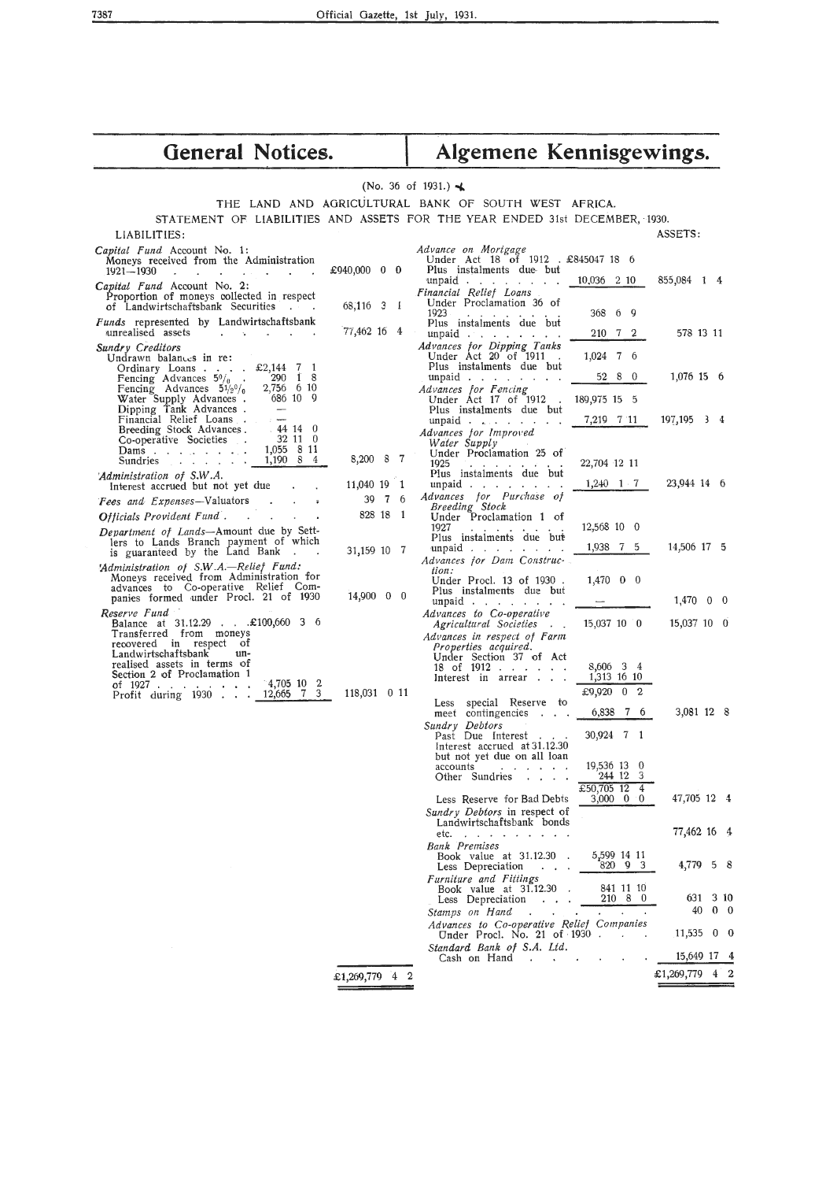| <b>General Notices.</b>                                                                                                                                                                                                            |                          | Algemene Kennisgewings.                                                                                  |                                                                                                    |                            |  |  |  |  |
|------------------------------------------------------------------------------------------------------------------------------------------------------------------------------------------------------------------------------------|--------------------------|----------------------------------------------------------------------------------------------------------|----------------------------------------------------------------------------------------------------|----------------------------|--|--|--|--|
|                                                                                                                                                                                                                                    |                          | (No. 36 of 1931.) $\blacktriangleleft$                                                                   |                                                                                                    |                            |  |  |  |  |
|                                                                                                                                                                                                                                    |                          | THE LAND AND AGRICULTURAL BANK OF SOUTH WEST AFRICA.                                                     |                                                                                                    |                            |  |  |  |  |
| STATEMENT OF LIABILITIES AND ASSETS FOR THE YEAR ENDED 31st DECEMBER, 1930.                                                                                                                                                        |                          |                                                                                                          |                                                                                                    |                            |  |  |  |  |
| LIABILITIES:                                                                                                                                                                                                                       |                          |                                                                                                          |                                                                                                    | ASSETS:                    |  |  |  |  |
| Capital Fund Account No. 1:<br>Moneys received from the Administration<br>1921-1930<br>$\overline{\phantom{a}}$<br>and the state of the state of the state of the state of the state of the state of the state of the state of the | £940,000 0 0             | Advance on Mortgage<br>Under Act 18 of 1912 . £845047 18 6<br>Plus instalments due but                   |                                                                                                    |                            |  |  |  |  |
| Capital Fund Account No. 2:<br>Proportion of moneys collected in respect<br>of Landwirtschaftsbank Securities<br><b>Contract Contract</b>                                                                                          | 68,116 3 1               | unpaid $\cdots$ $\cdots$ $\cdots$<br>Financial Relief Loans<br>Under Proclamation 36 of                  | 10,036 2 10                                                                                        | 855,084 1 4                |  |  |  |  |
| Funds represented by Landwirtschaftsbank<br>unrealised assets<br>and the contract of the contract of                                                                                                                               | $77,462$ 16 4            | 1923<br>and a state of the state<br>Plus instalments due but<br>unpaid $\cdots$                          | 69<br>368<br>210 7 2                                                                               | 578 13 11                  |  |  |  |  |
| Sundry Creditors<br>Undrawn balances in re:                                                                                                                                                                                        |                          | Advances for Dipping Tanks<br>Under Act $20$ of $1911$ .                                                 | 1,024 7 6                                                                                          |                            |  |  |  |  |
| Ordinary Loans £2,144 7 1<br>$290 \quad 1 \quad 8$<br>Fencing Advances $5\%$ .<br>2,756 6 10<br>Fencing Advances $5\frac{1}{2^0}$                                                                                                  |                          | Plus instalments due but<br>unpaid $\cdots$ $\cdots$<br>Advances for Fencing                             | 52 8 0                                                                                             | 1,076 15 6                 |  |  |  |  |
| Water Supply Advances.<br>686 10 9<br>Dipping Tank Advances.                                                                                                                                                                       |                          | Under Act 17 of 1912.<br>Plus instalments due but                                                        | 189,975 15 5                                                                                       |                            |  |  |  |  |
| Financial Relief Loans<br>$-44140$<br>Breeding Stock Advances.<br>32110<br>Co-operative Societies .<br>1,055 8 11<br>Dams. $\ldots$ $\ldots$ $\ldots$                                                                              |                          | unpaid $\ldots$ $\ldots$ $\ldots$<br>Advances for Improved<br>Water Supply<br>Under Proclamation 25 of   | 7,219 7 11                                                                                         | 197,195 3 4                |  |  |  |  |
| Sundries 1,190 8 4<br>'Administration of S.W.A.                                                                                                                                                                                    | 8,200 8 7                | 1925<br>and a strain and a strain and<br>Plus instalments due but                                        | 22,704 12 11                                                                                       |                            |  |  |  |  |
| Interest accrued but not yet due<br>Fees and Expenses-Valuators<br>and the state of the state of                                                                                                                                   | 11,040 19 1<br>39 7 6    | unpaid $\cdots$<br>Advances for Purchase of                                                              | $1,240 \quad 1 \quad 7$                                                                            | 23,944 14 6                |  |  |  |  |
| Officials Provident Fund.                                                                                                                                                                                                          | 828 18 1                 | Breeding Stock<br>Under Proclamation 1 of<br>1927                                                        | 12,568 10 0                                                                                        |                            |  |  |  |  |
| Department of Lands-Amount due by Sett-<br>lers to Lands Branch payment of which<br>is guaranteed by the Land Bank                                                                                                                 | 31,159 10 7              | Plus instalments due but<br>unpaid $\ldots$ $\ldots$ $\ldots$<br>Advances for Dam Construc-              | 1,938 7 5                                                                                          | 14,506 17 5                |  |  |  |  |
| 'Administration of S.W.A.-Relief Fund:<br>Moneys received from Administration for<br>advances to Co-operative Relief Com-<br>panies formed under Procl. 21 of 1930                                                                 | $14,900 \quad 0 \quad 0$ | tion:<br>Under Procl. 13 of 1930.<br>Plus instalments due but<br>unpaid $\ldots$ $\ldots$ $\ldots$       | $1,470$ 0 0                                                                                        | $1,470$ 0 0                |  |  |  |  |
| Reserve Fund<br>Balance at 31.12.29 £100,660 3 6<br>Transferred from moneys                                                                                                                                                        |                          | Advances to Co-operative<br>Agricultural Societies<br>Advances in respect of Farm                        | 15,037 10 0                                                                                        | 15,037 10 0                |  |  |  |  |
| recovered in respect of<br>Landwirtschaftsbank<br>un-<br>realised assets in terms of<br>Section 2 of Proclamation 1<br>$4,705$ 10 2<br>of $1927$<br>12,665 7 3<br>Profit during $1930$                                             | 118,031 0 11             | Properties acquired.<br>Under Section 37 of Act<br>18 of $1912$<br>Interest in arrear                    | 8,606 3 4<br>1,313 16 10<br>£9,920 0 2                                                             |                            |  |  |  |  |
|                                                                                                                                                                                                                                    |                          | Less special Reserve to<br>meet contingencies                                                            | 6,838 7 6                                                                                          | 3,081 12 8                 |  |  |  |  |
|                                                                                                                                                                                                                                    |                          | Sundry Debtors<br>Past Due Interest<br>Interest accrued at 31.12.30<br>but not yet due on all loan       | 30,924 7 1                                                                                         |                            |  |  |  |  |
|                                                                                                                                                                                                                                    |                          | accounts<br>contract and a series of<br>Other Sundries<br>$\mathbf{r}$ and $\mathbf{r}$ and $\mathbf{r}$ | 19,536 13 0<br>244 12 3<br>£50,705 12 4                                                            |                            |  |  |  |  |
|                                                                                                                                                                                                                                    |                          | Less Reserve for Bad Debts<br>Sundry Debtors in respect of                                               | $3,000 \quad 0 \quad 0$                                                                            | 47,705 12 4                |  |  |  |  |
|                                                                                                                                                                                                                                    |                          | Landwirtschaftsbank bonds<br>etc. $\cdots$ $\cdots$ $\cdots$                                             |                                                                                                    | 77,462 16 4                |  |  |  |  |
|                                                                                                                                                                                                                                    |                          | <b>Bank Premises</b><br>Book value at 31.12.30.<br>Less Depreciation<br>$\sim 100$ km s $^{-1}$          | 5,599 14 11<br>820 9 3                                                                             | 4,779 5 8                  |  |  |  |  |
|                                                                                                                                                                                                                                    |                          | Furniture and Fittings<br>Book value at $31.12.30$ .<br>Less Depreciation<br>Stamps on Hand.             | 841 11 10<br>210 8 0<br>$\mathbf{r} = \mathbf{r}$<br>$\mathbf{z} = \mathbf{z}$<br>Dolial Companies | 631 3 10<br>$40 \t 0 \t 0$ |  |  |  |  |

£1,269,779 4 2

15,649 17 4

Sumps on Hand<br>
Advances to Co-operative Relief Companies<br>
Under Procl. No. 21 of 1930<br>
Standard Bank of S.A. Ltd.<br>
Cash on Hand

7387

£1,269,779 4 2

40 0 0  $11,535$  0 0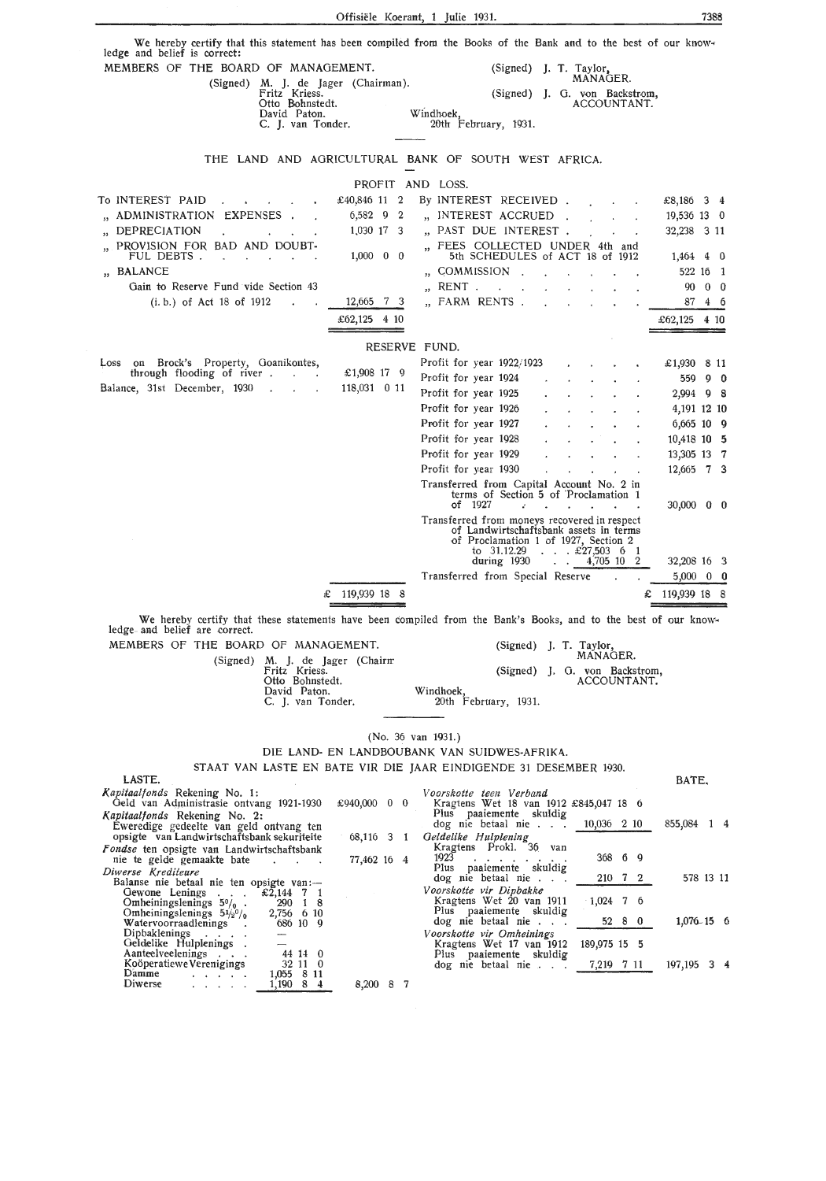Offisiele Koerant, 1 Julie 1931. 7388 We hereby certify that this statement has been compiled from the Books of the Bank and to the best of our know-<br>ledge and belief is correct: MEMBERS OF THE BOARD OF MANAGEMENT. (Signed) J. T. Taylor, MANAGER. (Signed) M. J. de Jager (Chairman).<br>Fritz Kriess. (Signed) J. G. von Backstrom,<br>ACCOUNTANT. Otto Bohnstedt. David Paton. Windhoek, C. J. van Tonder. 20th February, 1931. THE LAND AND AGRICULTURAL BANK OF SOUTH WEST AFRICA. PROFIT AND LOSS. To INTEREST PAID £40,846 11 2 By INTEREST RECEIVED. £8,186 3 4 ,, ADMINISTRATION EXPENSES ,, INTEREST ACCRUED 6,582 9 2 19,536 13 0  $\mathcal{L}$ ,, DEPRECIATION 32,238 3 11 1,030 17 3 ,, PAST DUE INTEREST  $\mathbb{R}^2$ ,, FEES COLLECTED UNDER 4th and ,, PROVISION FOR BAD AND DOUBT-FUL DEBTS . 1,000 0 0 5th SCHEDULES of ACT 18 of 1912 1,464 4 0  $\sim$  $\sim$  $\sim$ ,, COMMISSION .. BALANCE 522 16 1  $\mathcal{L}_{\mathcal{L}}$ ,, RENT Gain to Reserve Fund vide Section 43 90 0 0  $\ddot{\phantom{a}}$ 12,665 7 3 ,, FARM RENTS (i. b.) of Act 18 of 1912 87 4 6  $\pounds 62,125$  4 10  $\pounds 62,125$  4 10 RESERVE FUND. Loss on Brock's Property, Goanikontes, through flooding of river Profit for year 1922/1923 £1,930 8 **11**   $\ddot{\phantom{a}}$ £1,908 17 9 Profit for year 1924 559 9 **0**   $\ddot{\phantom{a}}$ Balance, 31st December, 1930 118,031 0 11 Profit for year 1925 2,994 9 8 Profit for year 1926 4,191 12 10 Profit for year 1927 6,665 10 9 Profit for year 1928 10,418 10 5 Profit for year 1929 13,305 13 7 Profit for year 1930 12,665 7 3 Transferred from Capital Account No. 2 in terms of Section 5 of Proclamation 1 30,000 0 0 of 1927 Transferred from moneys recovered in respect of Landwirtschaftsbank assets in terms of Proclamation 1 of 1927, Section 2 to  $31.12.29$  .  $\therefore$  £27,503 6 1<br>during 1930 .  $\therefore$  4,705 10 2 *to* 31.12.29 . . £27,503 6 1 32,208 16 3 Transferred from Special Reserve 5,000 0 0  $\textsterling$  119,939 18 8  $\textsterling$  119,939 18 8 We hereby certify that these statements have been compiled from the Bank's Books, and to the best of our knowledge and belief are correct. MEMBERS OF THE BOARD OF MANAGEMENT. (Signed) J. T. Taylor, MANAGER. (Signed) M. J. de Jager Fritz Kriess. (Chairrr (Signed) J. G. von Backstrom, Otto Bohnstedt. ACCOUNT **ANT.**  David Paton. Windhoek, C. J. van Tonder. 20th February, 1931. (No. 36 van 1931.) DIE LAND- EN LANDBOUBANK VAN SUIDWES-AFRIKA.. STAAT VAN LASTE EN BATE VIR DIE JAAR EINDIGENDE 31 DESEMBER 1930. LASTE. BATE, *l(apitaalfonds* Rekening No. 1: *Voorskotte teen Verband*  £940,000 0 0 Geld van Adrninistrasie ontvang 1921-1930 Kragtens Wet 18 van 1912 £845,047 18 6 Plus paaiemente skuldig *l(apitaalf onds* Rekening No. 2: 855,084 1 4 dog nie betaal nie . 10,036 2 10 Eweredige gedeelte van geld ontvang ten opsigte van Landwirtschaftsbank sekuriteiie 68,116 3 1 *Oeldelike Hulplening*  Kragtens Prok!. 36 van 1923 . . . . . . . . 368 6 <sup>9</sup> Fondse ten opsigte van Landwirtschaftsbank 77,462 16 4 nie te gelde gemaakte bate Plus paaiemente skuldig *Diwerse Krediteure*  Balanse nie betaal nie ten opsigte van:- Oewone Lenings . . . £2,144 7 1 578 13 11 dog nie betaal nie . . . 210 7 2 *Vo.orskotte vir Dipbakke*  Kragtens Wet 20 van 1911 · 1,024 7 6 Omheiningslenings  $50/0$  . 290 1 8 Omheiningslenings  $5\frac{1}{2}$ % 2,756 6 10<br>Watervoorraadlenings . 686 10 9 Plus paaiemente skuldig 1,076-15 6 dog nie betaal nie . . . 52 8 0 Dipbaklenings . . . .<br>Oeldelike Hulplenings .<br>Aanteelveelenings . . .<br>Koöperatiewe Verenigings *Voorskotte vir Omhelnlngs*  Kragtens Wet 17 van 1912 189,975 15 5 44 14 0 Plus paaiemente skuldig Numerweichings<br>
Koöperatiewe Verenigings<br>
Diwerse 197,195 3 4 32 11 0 dog nie betaal nie . . . 7,219 7 11 1,055 8 11

8,200 8 7

1,190 8 4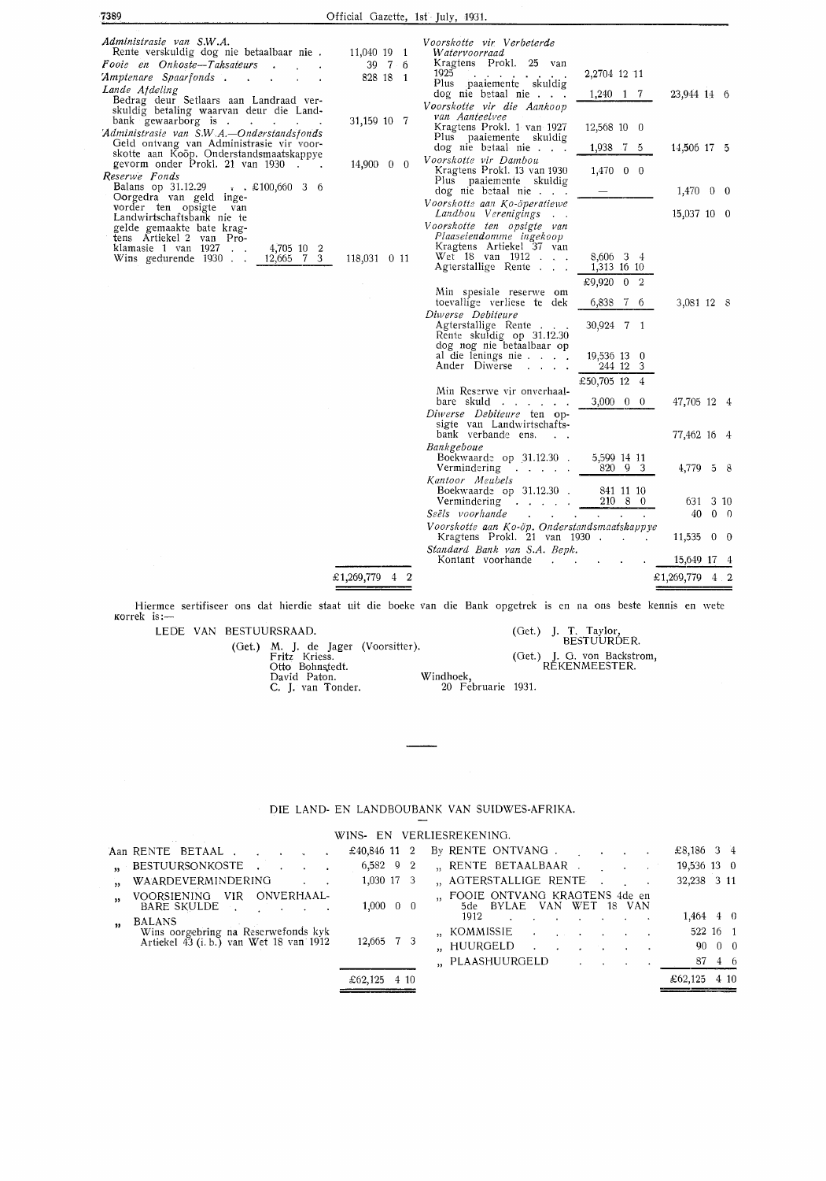| 7389                                                                                                                                                                                                    | Official Gazette, 1st July, 1931. |                                                                                                                                                                                                               |                                                           |                                 |
|---------------------------------------------------------------------------------------------------------------------------------------------------------------------------------------------------------|-----------------------------------|---------------------------------------------------------------------------------------------------------------------------------------------------------------------------------------------------------------|-----------------------------------------------------------|---------------------------------|
| Administrasie van S.W.A.<br>Rente verskuldig dog nie betaalbaar nie.<br>Fooie en Onkoste-Taksateurs<br>'Amptenare Spaarfonds .<br>$\sim 10$<br>Lande Afdeling<br>Bedrag deur Setlaars aan Landraad ver- | 11,040 19 1<br>39 7 6<br>828 18 1 | Voorskotte vir Verbeterde<br>Watervoorraad<br>Kragtens Prokl. 25 van<br>1925<br><b>Contract Contract Contract</b><br>Plus paaiemente skuldig<br>dog nie betaal nie<br>Voorskotte vir die Aankoop              | 2,2704 12 11<br>1,240 1 7                                 | 23,944 14 6                     |
| skuldig betaling waarvan deur die Land-<br>bank gewaarborg is<br>'Administrasie van S.W.A.-Onderstandsfonds<br>Geld ontvang van Administrasie vir voor-                                                 | 31,159 10 7                       | van Aanteelvee<br>Kragtens Prokl. 1 van 1927<br>Plus paaiemente skuldig<br>dog nie betaal nie                                                                                                                 | 12,568 10 0<br>1,938 7 5                                  | 14,506 17 5                     |
| skotte aan Koöp. Onderstandsmaatskappye<br>gevorm onder Prokl. 21 van 1930.<br>Reserwe Fonds<br><b>Balans op 31.12.29</b> . £100,660 3 6                                                                | $14,900 \quad 0 \quad 0$          | Voorskotte vir Dambou<br>Kragtens Prokl. 13 van 1930<br>Plus paaiemente skuldig<br>dog nie betaal nie                                                                                                         | $1,470 \quad 0 \quad 0$                                   | $1,470 \quad 0 \quad 0$         |
| Oorgedra van geld inge-<br>vorder ten opsigte van<br>Landwirtschaftsbank nie te<br>gelde gemaakte bate krag-<br>tens Artiekel 2 van Pro-                                                                |                                   | Voorskotte aan Ko-öperatiewe<br>Landbou Verenigings<br>Voorskotte ten opsigte van<br>Plaaseiendomme ingekoop                                                                                                  |                                                           | 15,037 10 0                     |
| klamasie 1 van 1927.<br>4,705 10 2<br>12,665 7 3<br>Wins gedurende 1930.                                                                                                                                | 118,031 0 11                      | Kragtens Artiekel 37 van<br>Wet 18 van 1912<br>Agterstallige Rente                                                                                                                                            | 8,606 3 4<br>1,313 16 10<br>£9,920 0 2                    |                                 |
|                                                                                                                                                                                                         |                                   | Min spesiale reserwe om<br>toevallige verliese te dek<br>Diwerse Debiteure<br>Agterstallige Rente<br>Rente skuldig op 31.12.30<br>dog nog nie betaalbaar op<br>al die lenings nie $\ldots$ .<br>Ander Diwerse | 6,838 7 6<br>30,924 7 1<br>19,536 13 0<br>244 12 3        | 3,081 12 8                      |
|                                                                                                                                                                                                         |                                   | Min Reserwe vir onverhaal-<br>bare skuld<br>Diwerse Debiteure ten op-                                                                                                                                         | £50,705 12 4<br>$3,000 \quad 0 \quad 0$                   | 47,705 12 4                     |
|                                                                                                                                                                                                         |                                   | sigte van Landwirtschafts-<br>bank verbande ens.                                                                                                                                                              |                                                           | 77,462 16 4                     |
|                                                                                                                                                                                                         |                                   | Bankgeboue<br>Boekwaarde op 31.12.30.<br>Vermindering                                                                                                                                                         | 5,599 14 11<br>820 9 3                                    | 4,779 5 8                       |
|                                                                                                                                                                                                         |                                   | Kantoor Meubels<br>Boekwaarde op 31.12.30.<br>Vermindering _<br>Seëls voorhande<br><b>All Contract Contract</b>                                                                                               | 841 11 10<br>210 8 0<br>and the state of the state of the | 310<br>631<br>40<br>$0 \quad 0$ |
|                                                                                                                                                                                                         |                                   | Voorskotte aan Ko-öp. Onderstandsmaatskappye<br>Kragtens Prokl. 21 van 1930.                                                                                                                                  |                                                           | $11,535 \quad 0 \quad 0$        |
|                                                                                                                                                                                                         |                                   | Standard Bank van S.A. Bepk.<br>Kontant voorhande<br>$\sim$                                                                                                                                                   |                                                           | 15,649 17 4                     |
|                                                                                                                                                                                                         | £1,269,779 4 2                    |                                                                                                                                                                                                               |                                                           | £1,269,779 4 2<br>==            |

Hiermee sertifiseer ons dat hierdie staat uit die boeke van die Bank opgetrek is en na ons beste kennis en wete Korrek is:-

LEDE VAN BESTUURSRAAD.

(Get.) M. J. de Jager Fritz Kriess. Otto Bohnstedt. David Paton. C. J. van Tonder. (Voorsitter ). Windhoek, (Get.) J. T. Taylor, BESTUURDER. (Get.) J. 0. von Backstrom, RE KEN MEESTER.

20 Februarie 1931.

#### DIE LAND- EN LANDBOUBANK VAN SUIDWES-AFRIKA.

WINS- EN VERLIESREKENINO.

|                           | Aan RENTE BETAAL   |                                         |            |  | £40,846 11 2            |  | By RENTE ONTVANG.               |                          |  |                            |  | £8,186 3 4   |        |
|---------------------------|--------------------|-----------------------------------------|------------|--|-------------------------|--|---------------------------------|--------------------------|--|----------------------------|--|--------------|--------|
| $\mathbf{M}^{\text{max}}$ | BESTUURSONKOSTE.   |                                         |            |  | $6,582$ 9 2             |  | "RENTE BETAALBAAR.              |                          |  |                            |  | 19,536 13 0  |        |
| $\overline{\mathbf{33}}$  | WAARDEVERMINDERING |                                         |            |  | 1,030 17 3              |  | " AGTERSTALLIGE RENTE           |                          |  |                            |  | 32,238 3 11  |        |
| $\overline{\mathbf{a}}$   | VOORSIENING VIR    | BARE SKULDE                             | ONVERHAAL- |  | $1,000 \quad 0 \quad 0$ |  | " FOOIE ONTVANG KRAGTENS 4de en | 5de BYLAE VAN WET 18 VAN |  |                            |  |              |        |
| 55 <sub>1</sub>           | <b>BALANS</b>      |                                         |            |  |                         |  | 1912                            |                          |  |                            |  | $1,464$ 4 0  |        |
|                           |                    | Wins oorgebring na Reserwefonds kyk     |            |  |                         |  | ,, KOMMISSIE                    |                          |  |                            |  | 522 16 1     |        |
|                           |                    | Artickel 43 (i. b.) van Wet 18 van 1912 |            |  | 12,665 7 3              |  | "HUURGELD                       |                          |  | and the state of the state |  |              | 90 0 0 |
|                           |                    |                                         |            |  |                         |  | "PLAASHUURGELD                  |                          |  |                            |  |              | 87 4 6 |
|                           |                    |                                         |            |  | £62,125 4 10            |  |                                 |                          |  |                            |  | £62,125 4 10 |        |
|                           |                    |                                         |            |  |                         |  |                                 |                          |  |                            |  |              |        |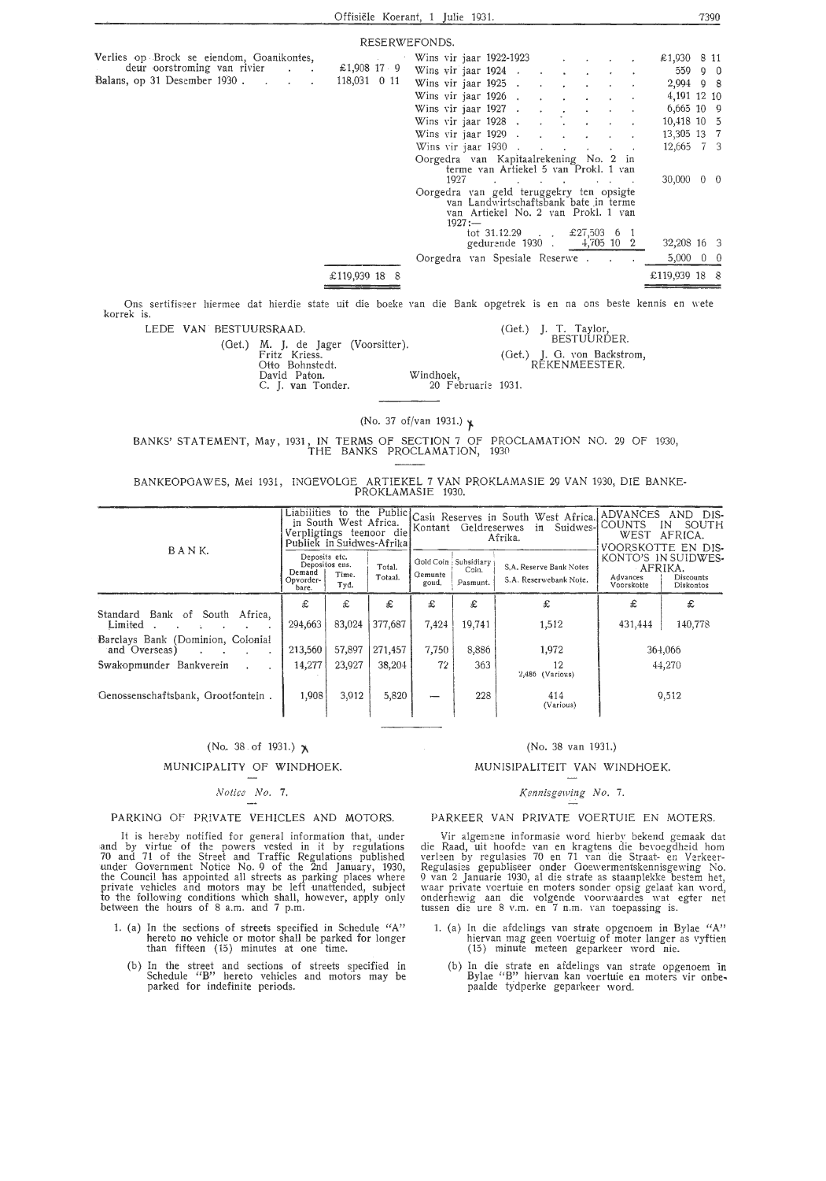|                                           | RESERWEFONDS. |                                                                                                                                       |                          |
|-------------------------------------------|---------------|---------------------------------------------------------------------------------------------------------------------------------------|--------------------------|
| Verlies op Brock se eiendom, Goanikontes, |               | Wins vir jaar 1922-1923 $\ldots$                                                                                                      | £1,930 8 11              |
| deur oorstroming van rivier               | £1,908 17 9   | Wins vir jaar 1924<br>and a strong of the state                                                                                       | $559$ 9 0                |
| Balans, op 31 Desember 1930.              | 118,031 0 11  | Wins vir jaar $1925$ .                                                                                                                | 2,994 9 8                |
|                                           |               | Wins vir jaar 1926                                                                                                                    | 4,191 12 10              |
|                                           |               | Wins vir jaar $1927$<br><b>Contractor</b>                                                                                             | $6,665$ 10 9             |
|                                           |               | Wins vir jaar 1928                                                                                                                    | 10,418 10 5              |
|                                           |               | Wins vir jaar 1929.<br>$\sim$                                                                                                         | 13,305 13 7              |
|                                           |               | Wins vir jaar 1930.<br><b>Service Contractor</b>                                                                                      | 12,665 7 3               |
|                                           |               | Oorgedra van Kapitaalrekening No. 2 in<br>terme van Artiekel 5 van Prokl. 1 van                                                       |                          |
|                                           |               | 1927<br>the contract of the contract of the contract of the contract of the contract of                                               | $30,000 \quad 0 \quad 0$ |
|                                           |               | Oorgedra van geld teruggekry ten opsigte<br>van Landwirtschaftsbank bate in terme<br>van Artiekel No. 2 van Prokl. 1 van<br>$1927 :=$ |                          |
|                                           |               | tot 31.12.29 $\pounds 27,503$ 6 1<br>gedurende 1930 . 4,705 10 2                                                                      | 32,208 16 3              |
|                                           |               | Oorgedra van Spesiale Reserwe                                                                                                         | $5,000 \quad 0 \quad 0$  |
|                                           | £119,939 18 8 |                                                                                                                                       | £119,939 18 8            |

Ons sertifiseer hiermee dat hierdie state uit die boeke van die Bank opgetrek is en na ons beste kennis en wete korrek is.

LEDE VAN BESTUURSRAAD.

(Get.) M. J. de Jager Fritz Kriess. Otto Bohnstedt. David Paton. C. **J. van** Tonder. (Voorsitter ). Windhoek,

(Get.) J. T. Taylor, BESTUURDER. (Get.) J. 0. von Backstrom, RE KEN MEESTER. 20 Februarie 1931.

(No. 37 of/van 1931.) }

BANKS' STATEMENT, May, 1931, IN TERMS OF SECTION 7 Of PROCLAMATION NO. 29 OF 1930, THE BANKS PROCLAMATION, 1930

BANKEOPGAWES, Mei 1931, INGEVOLOE ARTIEKEL 7 VAN PROKLAMASIE 29 VAN 1930, DIE BANKE-<br>PROKLAMASIE 1930.

|                                                                 | Publiek in Suidwes-Afrikal                    | in South West Africa.<br>Verpligtings teenoor die |                   |                  | Kontant Geldreserwes                        | Liabilities to the Public Cash Reserves in South West Africa ADVANCES<br>in Suidwes-<br>Afrika. | DIS-<br>AND<br> COUNTS<br>SOUTH<br>IN<br>WEST<br>AFRICA.<br>VOORSKOTTE EN DIS- |                                               |  |
|-----------------------------------------------------------------|-----------------------------------------------|---------------------------------------------------|-------------------|------------------|---------------------------------------------|-------------------------------------------------------------------------------------------------|--------------------------------------------------------------------------------|-----------------------------------------------|--|
| BANK.                                                           | Deposits etc.<br>Demand<br>Opvorder-<br>bare. | Depositos ens.<br>Time.<br>Tyd.                   | Total.<br>Totaal. | Gemunte<br>goud, | Gold Coin : Subsidiary<br>Coin.<br>Pasmunt. | S.A. Reserve Bank Notes<br>S.A. Reserwebank Note,                                               | AFRIKA.<br>Advances<br>Voorskotte                                              | KONTO'S IN SUIDWES-<br>Discounts<br>Diskontos |  |
| Standard Bank of South Africa,<br>Limited                       | £<br>294,663                                  | £<br>83,024                                       | £<br>377,687      | £<br>7,424       | £<br>19,741                                 | £<br>1,512                                                                                      | £<br>431,444                                                                   | £<br>140,778                                  |  |
| Barclays Bank (Dominion, Colonial<br>and Overseas)<br>$\bullet$ | 213,560                                       | 57,897                                            | 271,457           | 7,750            | 8,886                                       | 1,972                                                                                           |                                                                                | 364,066                                       |  |
| Swakopmunder Bankverein<br>Genossenschaftsbank, Grootfontein.   | 14,277<br>1,908                               | 23,927<br>3,912                                   | 38,204<br>5,820   | 72               | 363<br>228                                  | 12<br>2,486 (Various)<br>414<br>(Various)                                                       |                                                                                | 44,270<br>9,512                               |  |
|                                                                 |                                               |                                                   |                   |                  |                                             |                                                                                                 |                                                                                |                                               |  |

#### $(No. 38. of 1931.)$   $\lambda$

MUNICIPALITY OF WINDHOEK.

## *Notice No.* 7.

PARKING OF PRIVATE VEHICLES AND MOTORS.

It is hereby notified for general information that, under and by virtue of the powers vested in it by regulations 70 and 71 of the Street and Traffic Regulations published under Government Notice No. 9 of the  $\overline{2}$ nd January, 1930, the Council has appointed all streets as parking places where private vehicles and motors may be left unattended, subject to the following conditions which shall, however, apply only between the hours of 8 a.m. and 7 p.m.

- 1. (a) In the sections of streets specified in Schedule "A" hereto no vehicle or motor shall be parked for longer than fifteen ( 15) minutes at one time.
	- (b) In the street and sections of streets specified in Schedule "B" hereto vehicles and motors may be parked for indefinite periods.

#### (No. 38 van 1931.)

#### MUNIS!PAL!TEIT VAN WINDHOEK.

#### *l(ennisgewing No.* 7.

#### PARKEER VAN PRIVATE VOERTUIE EN MOTERS.

Vir algemene informasie word hierby bekend gemaak dat die Raad, uit hoofde van en kragtens die bernegdheid horn verleen by regulasies 70 en 71 van die Straat- en Verkeer-Regulasies gepubliseer onder Ooewermentskennisgewing No.<br>9 van 2 Januarie 1930, al die strate as staanplekke bestem het,<br>waar private voertuie en moters sonder opsig gelaat kan word, onderhewig aan die volgende voorwaardes wat egter net tussen die ure 8 v.m. en 7 n.m. van toepassing is.

- 1. (a) In die afdelings van strate opgenoem in Bylae "A" hiervan mag geen voertuig of moter langer as vyftien ( 15) minute meteen geparkeer word nie.
	- (b) In die strate en afdelings van strate opgenoem in Bylae "B" hiervan kan voertuie en moters vir onbepaalde tydperke geparkeer word.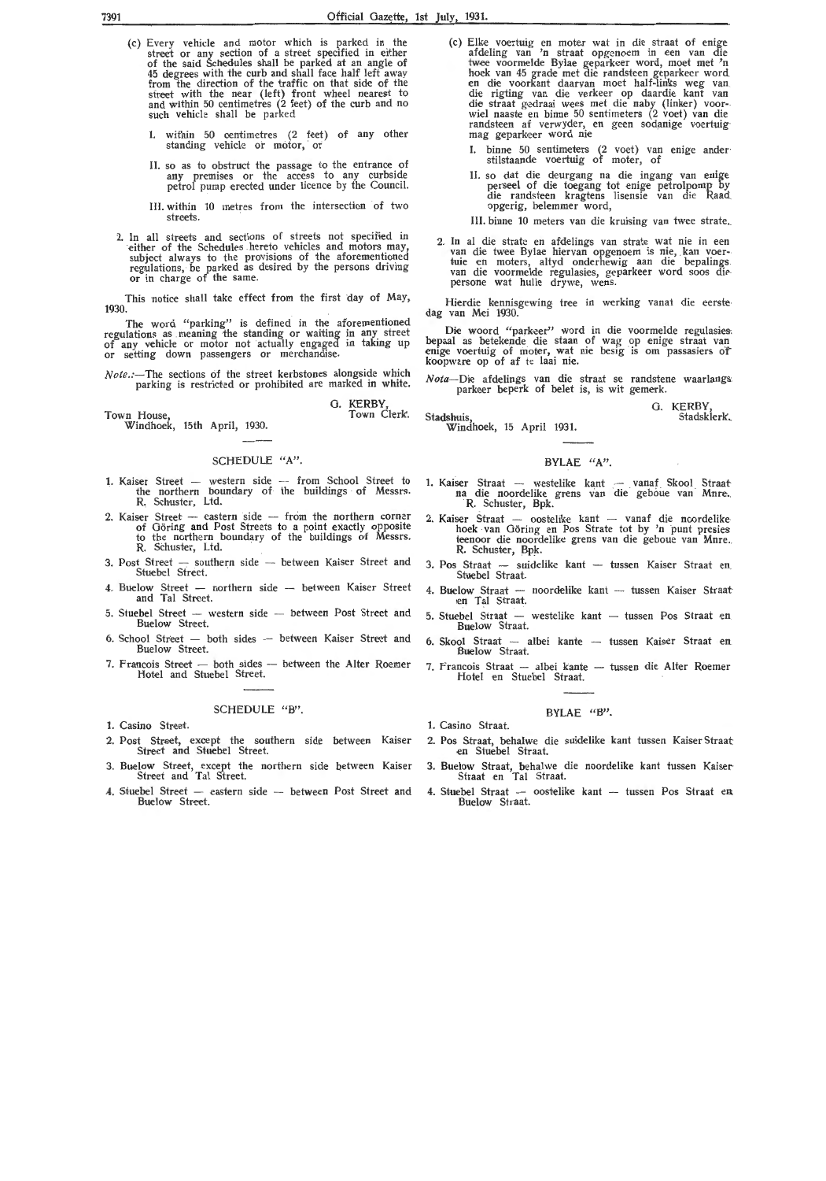- (c) Every vehicle and motor which is parked in the street or any section of a street specified in either of the said Schedules shall be parked at an angle of 45 degrees with the curb and shall face half left away<br>from the direction of the traffic on that side of the street with the near (left) front wheel nearest to and within 50 centimetres (2 feet) of the curb and no such vehicle shall be parked
	- I. within 50 centimetres (2 feet) of any other standing vehicle or motor, or
	- II. so as to obstruct the passage to the entrance of any premises or the access to any curbside petrol pump erected under licence by the Council.
	- III. within 10 metres from the intersection of two streets.
- 2. In all streets and sections of streets not specified in either of the Schedules hereto vehicles and motors may, subject always to the provisions of the aforementioned regulations, be parked as desired by the persons driving or in charge of the same.

This notice shall take effect from the first day of May, 1930.

The word "parking" is defined in the aforementioned regulations as meaning the standing or waiting *!n* any\_ street of any vehicle or motor not actually engaged in taking up<br>or setting down passengers or merchandise.

*Note.:-*The sections of the street kerbstones alongside which parking is restricted or prohibited are marked in white.

G. KERBY,<br>Town Clerk.

**Town** House, Windhoek, 15th April, 1930.

#### SCHEDULE "A".

- 1. Kaiser Street western side -- from School Street to the northern boundary of the buildings of Messrs.<br>R. Schuster, Ltd.
- 2. Kaiser Street -- eastern side -- from the northern corner of Göring and Post Streets to a point exactly opposite to the northern boundary of the buildings of Messrs. R. Schuster, Ltd.
- 3. Post Street southern side between Kaiser Street and Stuebel Street.
- 4. Buelow Street northern side between Kaiser Street and Ta! Street.
- 5. Stuebel Street -- western side -- between Post Street and Buelow Street.
- 6. School Street both sides between Kaiser Street and Buelow Street.
- 7. Francois Street both sides between the Alter Roemer Hotel and Stuebel Street.

#### SCHEDULE "B".

- 1. Casino Street.
- 2. Post Street, except the southern side between Kaiser Street and Stuebe! Street.
- 3. Buelow Street, except the northern side between Kaiser Street and Tal Street.
- 4. Stuebel Street eastern side -- between Post Street and Buelow Street.
- (c) Elke voertuig en moter wat in die straat of enige afdeling van 'n straat opgenoem in een van die twee voormelde Bylae geparkeer word, moet met 'n hoek van 45 grade met die randsteen geparkeer word<br>en die voorkant daarvan moet half-links weg van<br>die rigting van die verkeer op daardie kant van<br>die straat gedraai wees met die naby (linker) voor-<br>wiel naaste en binne 50 randsteen af verwyder, en geen sodanige voertuig<sup>.</sup><br>mag geparkeer word nie
	- I. binne 50 sentimeters (2 voet) van enige ander· stilstaande voertuig of moter, of
	- II. so dat die deurgang na die ingang van enige perseel of die toegang tot enige petrolpomp by die randsteen kragtens lisensie van die Raad opgerig, belemmer word,
	- III. binne 10 meters van die kruising van twee strate.
- 2. In al die strate en afdelings van strate wat nie in een van die twee Bylae hiervan opgenoem is nie, kan voer-- tuie en moters, altyd onderhewig aan die bepalings van die voormelde regulasies, geparkeer word soos die persone wat hulle drywe, wens.

Hierdie kennisgewing tree in werking vanat die eerstedag van Mei 1930.

Die woord "parkeer" word in die voormelde regulasies. bepaal as betekende die staan of wag op enige straat van enige voertuig of moter, wat nie besig is om passasiers of koopware op of af te laai nie.

*Nota*--Die afdelings van die straat se randstene waarlangs:<br>parkeer beperk of belet is, is wit gemerk.

G. KERBY Stadsklerk.

Town Clerk. Stadshuis, Windhoek, 15 April 1931.

#### **BYLAE "A".**

- 1. Kaiser Straat -- westelike kant -- vanaf Skool Straat na die noordelike grens van die geboue van Mnre. R. Schuster, Bpk.
- 2. Kaiser Straat oostelike kant -- vanaf die noordelike hoek van Goring en Pos Strate tot by 'n punt presies teenoor die noordelike grens van die geboue van Mnre. R. Schuster, Bpk.
- 3. Pos Straat suidelike kant tussen Kaiser Straat en Stuebel Straat.
- 4. Buelow Straat noordelike kant tussen Kaiser Straat en Ta! Straat.
- 5. Stuebel Straat westelike kant tussen Pos Straat en Buelow Straat.
- 6. Skool Straat albei kante tussen Kaiser Straat en Buelow Straat.
- 7. Francois Straat albei kante tussen die Alter Roemer Hotel en Stuebel Straat.

#### BYLAE "B".

- 1. Casino Straat.
- 2. Pos Straat, behalwe die suidelike kant tussen Kaiser Straat en Stuebe! Straat.
- 3. Buelow Straat, behalwe die noordelike kant tussen Kaiser· Straat en Ta! Straat.
- 4. Stuebel Straat oostelike kant -- tussen Pos Straat en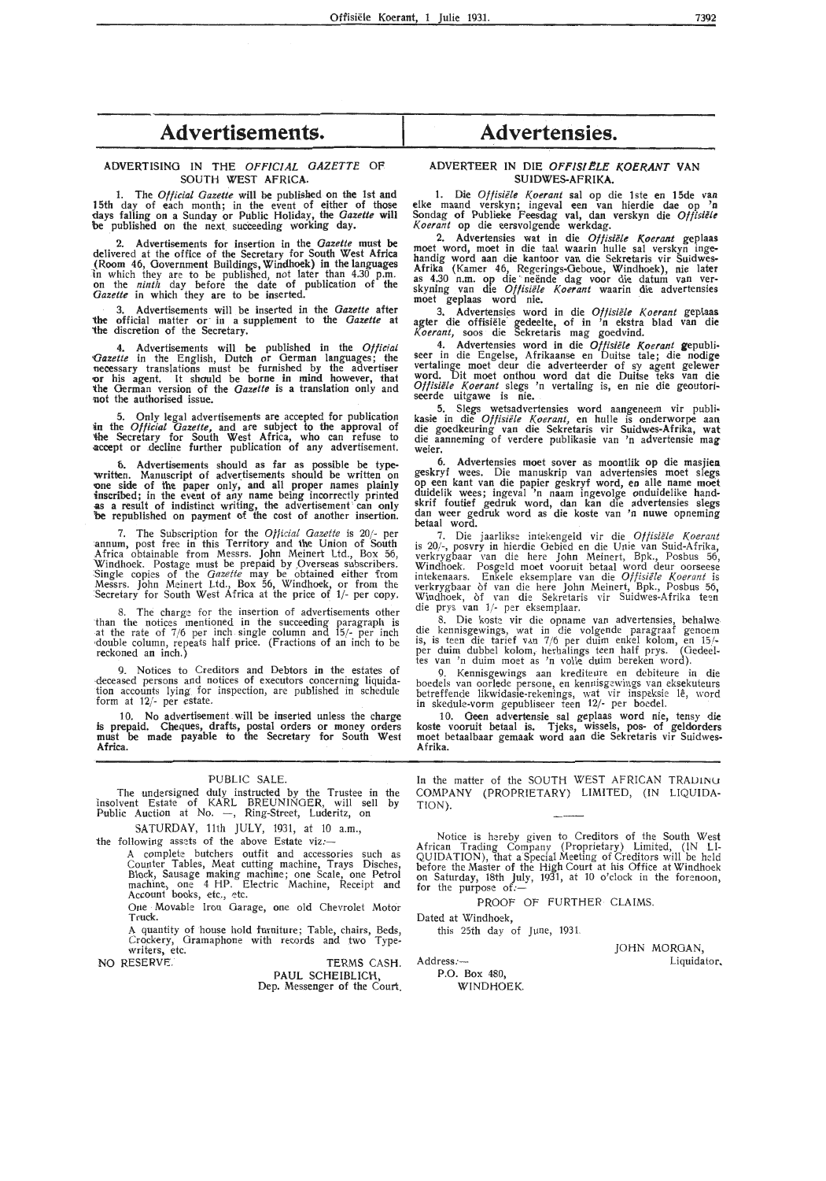## **Advertisements.**

ADVERTISING IN THE *OFFICIAL GAZETTE* OF SOUTH WEST AFRICA.

1. The *Otficial Gazette* will be published on the 1st and 15th day of each month; in the event of either of those days falling on a Sunday or Public Holiday, the *Gazette* will be published on the next succeeding working day.

2. Advertisements for insertion in the *Gazette* must be delivered at the office of the Secretary for South West Africa (Room 46, Government Buildings, Windhoek) in the languages in which they are to be published, not later than 4.30 p.m. on the *ninth* day before the date of publication of the *Gazette* in which they are to be inserted.

3. Advertisements will be inserted in the *Gazette* after 'the official matter or in a supplement to the *Gazette* **at**  'the discretion of the Secretary.

4. Advertisements **will be** published in the *Official*  Gazette in the English, Dutch or German languages; the necessary translations must be furnished by the advertiser **-or** his agent. It should be borne in mind however, that 'the German version of the *Gazette* is a translation only and not the authorised issue.

5. Only legal advertisements are accepted for publication *in* the *Official Gazette,* and are subject to the approval of "the Secretary for South West Africa, who can refuse to -accept or decline further publication of any advertisement.

6. Advertisements should as far as possible be typewritten. Manuscript of advertisements should be written on one side of the paper only, and all proper names plainly inscribed; in the event of any name being incorrectly printed as a result of indistinct writing, the advertisement can only be republished on payment of the cost of another insertion.

7. The Subscription for the *Official Gazette* is 20/- per :annum, post free in this Territory and the Union of South Africa obtainable from Messrs. John Meinert Ltd., Box 56, Windhoek. Postage must be prepaid by Overseas subscribers. Single copies of the *Gazette* may be obtained either from Messrs. John Meinert Ud., Box 56, Windhoek, or from the Secretary for South West Africa at the price of 1/- per copy.

8. The charge for the insertion of advertisements other<br>than the notices mentioned in the succeeding paragraph is<br>at the rate of  $7/6$  per inch single column and  $15/-$  per inch<br>double column, repeats half price. (Fraction reckoned an inch.)

9. Notices to Creditors and Debtors in the estates of executors concerning liquidation accounts lying for inspection, are published in schedule form at 12/- per estate.

10. No advertisement . will be inserted unless the charge is prepaid. Cheques, drafts, postal orders or money orders must be made payable to the Secretary for South West **Africa.** 

#### 'PUBLIC SALE.

The undersigned duly instructed by the Trustee in the insolvent Estate of KARL BREUNINGER, will sell by<br>Public Auction at No. —, Ring-Street, Luderitz, on

SATURDAY, 11th JULY, 1931, at 10 a.m.,

the following assets of the above Estate viz:-

A complete butchers outfit and accessories such as Counter Tables, Meat cutting machine, Trays Disches, Block, Sausage making machine; one Scale, one Petrol machine, one 4 HP. Electric Machine, Receipt and Account books, etc., etc.

One Movable Iron Garage, one old Chevrolet Motor Truck.

A quantity of house hold furniture; Table, chairs, Beds, Crockery, Gramaphone with records and two Typewriters, etc.

NO RESERVE. TERMS CASH. PAUL SCHEIBLICH, Dep. Messenger of the Court.

## **Advertensies.**

#### ADVERTEER IN DIE OFFISIELE KOERANT VAN **SUIDWES-AFRlKA.**

1. Die *Offisiële Koerant* sal op die 1ste en 15de van elke maand verskyn; ingeval een van hierdie dae op 'n Sondag of Publieke Feesdag val, dan verskyn die *Off isiele Koerant* **op die eersvolgende werkdag.** 

2. Advertensies wat in die *Offisiele Koerant* geplaas moet word, moet in die taal waarin hulle sal verskyn ingehandig word aan die kantoor van die Sekretaris vir Suidwes-Afrika (Kamer 46, Regerings-Geboue, Windhoek), nie later<br>as 4.30 n.m. op die neënde dag voor die datum van ver-<br>skyning van die *Offisiële Koerant* waarin die advertensies moet geplaas word nie.

3. Advertensies word in die *Offisiele Koerant* geplaas agter die offisiele gedeelte, of in 'n ekstra blad van die *Koerant,* soos die Sekretaris mag goedvind.

4. Advertensies word in die *Offisiële Koerant* gepubliseer in die Engelse, Afrikaanse en Duitse tale; die nodige vertalinge moet deur die adverteerder of sy agent gelewer word. Dit moet onthou word dat die Duitse teks van die *Offisiele Koerant* slegs 'n vertaling is, en nie die geoutoriseerde uitgawe is nie.

5. Slegs wetsadvertensies word aangeneem vir publi• kasie in die *Offisiële Koerant*, en hulle is onderworpe aan die goedkeuring van die Sekretaris vir Suidwes-Afrika, wat die aanneming of verdere publikasie van 'n advertensie magweier.

6. Advertensies moet sover as moontlik op die masjien geskryf wees. Die manuskrip van advertensies moet slegs op een kant van die papier geskryf word, en alle name mod duidelik wees; ingeval 'n naam ingevolge onduidelike handskrif foutief gedruk word, dan kan die advertensies slegs dan weer gedruk word as die koste van 'n nuwe opneming **betaal word.** 

7. Die jaarlikse intekengeld vir die *Oftisiiile K.oerant*  is 20/-, posvry in hierdie Oebied en die Unie van Suid-Afrika, verkrygbaar van die here John Meinert, Bpk., Posbus 56, Windhoek. Posgeld moet vooruit betaal word deur oorseese intekenaars. Enkele eksemplare van die *Of fisiele K.oerant* is verkrygbaar of van die here John Meinert, Bpk., Posbus 56, Windhoek, of van die Sekretaris vir Suidwes-Afrika teen die prys van 1/- per eksemplaar.

8. Die koste vir die opname van advertensies, behalwe. die kennisgewings, wat in die volgende paragraaf genoem is, is teen die tarief van 7/6 per duim enkel kolom, en 15/-<br>per duim dubbel kolom, herhalings teen half prys. (Gedeeltes van 'n duim moet as 'n voile duim bereken word).

9. Kennisgewings aan krediteure en debiteure in die boedels van oorlede persone, en kennisgewings van eksekuteurs betreffende likwidasie-rekenings, wat vir inspeksie le, word in skedule-vorm gepubliseer teen 12/- per boedel.

10. Geen advertensie sal geplaas word nie, tensy die koste vooruit betaal is. Tjeks, wissels, pos- of geldorders moet betaalbaar gemaak word aan die Sekretaris vir Suidwes-**Afrika.** 

In the matter of the SOUTH WEST AFRICAN TRADINU COMPANY (PROPRIETARY) LIMITED, (IN LIQUIDA-TION).

Notice is hereby given to Creditors of the South West African Trading Company (Proprietary). Limited, (IN LI-QUIDATION), that a Special Meeting of Creditors will be held before the Master of the High Court at his Office at Windhoek on Saturday, 18th July, 1931, at 10 o'clock in the forenoon, for the purpose of:-

PROOF OF FURTHER CLAIMS.

Dated at Windhoek, this 25th day of June, 1931.

Address:-

P.O. Box 480, WINDHOEK. JOHN MORGAN, Liquidator.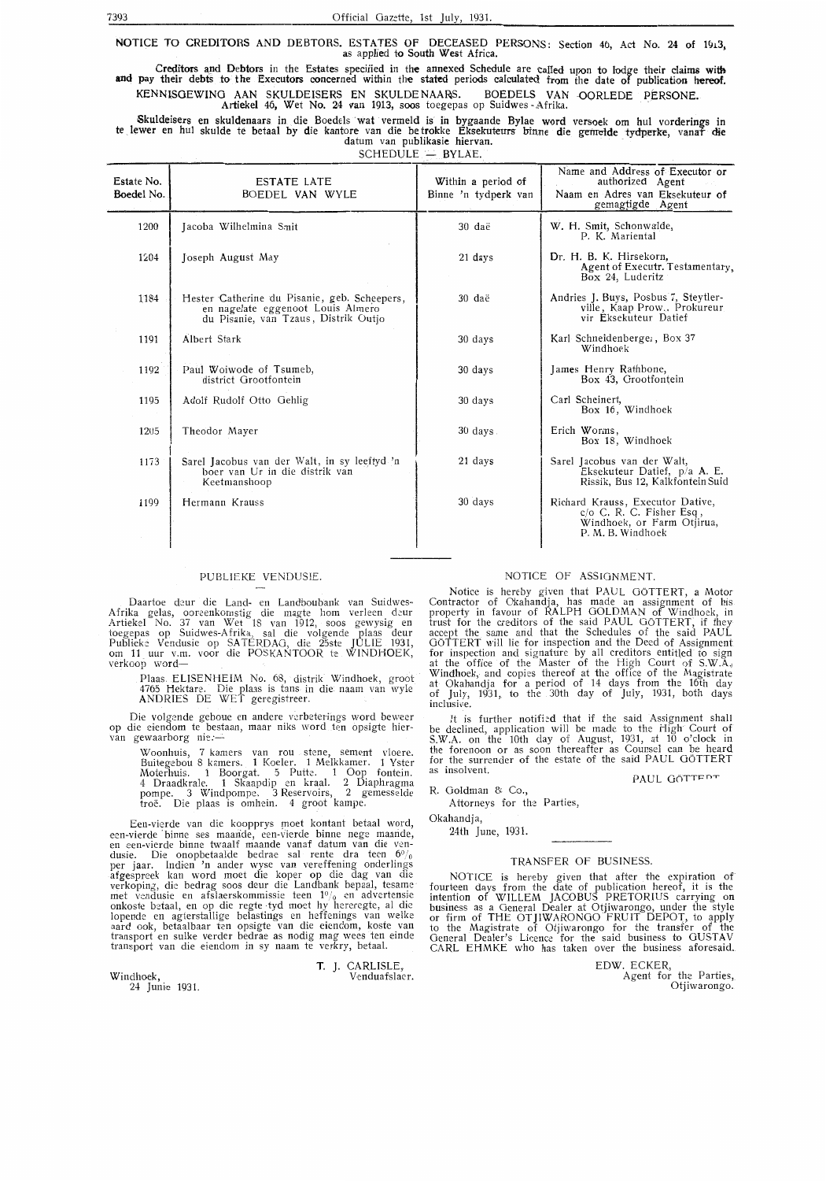NOTICE TO CREDITORS AND DEBTORS. ESTATES OF DECEASED PERSONS: Section 4b, Act No. 24 of 1913, as applied to South West Africa.

Creditors and Debtors in the Estates specified in the annexed Schedule are called upon to lodge their claims with and pay their debts to the Executors concerned within the stated periods calculated from the date of publication hereof. KENNlSGEWING AAN SKULDEISERS EN SKULDE NAARS. BOEDELS VAN -OORLEDE PERSONE. Ar**tiekel 46, Wet No. 24 van 1913, soos** toegepas op Suidwes Afrika.

Skuldeisers en skuldenaars in die Boedels wat vermeld is in bygaande Bylae word versoek om hul vorderings in te lewer en hul skulde te betaal by die kantore van die betrokke Eksekuteurs binne die gemelde tydperke, vanaf die datum van publikasie hiervan.

| SCHEDULE - BYLAE. |  |  |
|-------------------|--|--|
|                   |  |  |

| Estate No.<br>Boedel No. | <b>ESTATE LATE</b><br>BOEDEL VAN WYLE                                                                                     | Within a period of<br>Binne 'n tydperk van | Name and Address of Executor or<br>authorized Agent<br>Naam en Adres van Eksekuteur of<br>gemagtigde Agent             |
|--------------------------|---------------------------------------------------------------------------------------------------------------------------|--------------------------------------------|------------------------------------------------------------------------------------------------------------------------|
| 1200                     | Jacoba Wilhelmina Smit                                                                                                    | 30 daë                                     | W. H. Smit, Schonwalde,<br>P. K. Mariental                                                                             |
| 1204                     | Joseph August May                                                                                                         | 21 days                                    | Dr. H. B. K. Hirsekorn,<br>Agent of Executr. Testamentary,<br>Box 24, Luderitz                                         |
| 1184                     | Hester Catherine du Pisanie, geb. Scheepers,<br>en nagelate eggenoot Louis Almero<br>du Pisanie, van Tzaus, Distrik Outjo | 30 daë                                     | Andries J. Buys, Posbus 7, Steytler-<br>ville, Kaap Prow., Prokureur<br>vir Eksekuteur Datief                          |
| 1191                     | Albert Stark                                                                                                              | 30 days                                    | Karl Schneidenberger, Box 37<br>Windhoek                                                                               |
| 1192                     | Paul Woiwode of Tsumeb,<br>district Grootfontein                                                                          | 30 days                                    | James Henry Rathbone,<br>Box 43, Grootfontein                                                                          |
| 1195                     | Adolf Rudolf Otto Gehlig                                                                                                  | 30 days                                    | Carl Scheinert,<br>Box 16, Windhoek                                                                                    |
| 1205                     | Theodor Mayer                                                                                                             | 30 days                                    | Erich Worms,<br>Box 18, Windhoek                                                                                       |
| 1173                     | Sarel Jacobus van der Walt, in sy leeftyd 'n<br>boer van Ur in die distrik van<br>Keetmanshoop                            | 21 days                                    | Sarel Jacobus van der Walt,<br>Eksekuteur Datief, p/a A. E.<br>Rissik, Bus 12, Kalkfontein Suid                        |
| 1199                     | Hermann Krauss                                                                                                            | 30 days                                    | Richard Krauss, Executor Dative,<br>$c/\sigma$ C. R. C. Fisher Esq.<br>Windhoek, or Farm Otjirua,<br>P. M. B. Windhoek |
|                          |                                                                                                                           |                                            |                                                                                                                        |

#### PUBLIEKE VENDUS!E.

Daartoe deur die Land- en Landboubank van Suidwes-Afrika gelas, ooreenkomstig die magte hom verleen deur<br>Artiekel No. 37 van Wet 18 van 1912, soos gewysig en<br>toegepas op Suidwes-Afrika, sal die volgende plaas deur<br>Publieke Vendusie op SATERDAG, die 25ste JULIE 1931,<br>om 11 verkoop word-

> Plaas. ELISENHE!M No. 68, distrik Windhoek, groot 4765 Hektare. Die plaas is tans in die: naam van wyle ANDRIES DE WET geregistreer.

Die volgende geboue en andere verbeterings word beweer op die eiendom te bestaan, maar niks word ten opsigte hier- van gewaarborg nie:--

Woonhuis, 7 kamers van rou stene, sement vloere. Buitegebou 8 kamers. 1 Koeler. 1 Melkkamer. 1 Yster Moterhuis. 1 Boorgat. 5 Putk. 1 Oop fontein. 4 Draadkrale. 1 Skaapdip en kraal. 2 Diaphragma pompe. 3 Windpompe. 3 Reservoirs, 2 gemesselde troe. Die plaas is omhein. 4 groot kampe.

Een-vierde van die koopprys moet kontant betaal word, een-vierde binne ses maande, een-vierde binne nege maande,<br>en een-vierde binne twaalf maande vanaf datum van die vendusie. Die onopbetaalde bedrae sal rente dra teen  $6\%$ per jaar. Indien 'n ander wyse van vereffening onderlings afgespreek kan word moet die koper op die dag van die verkoping, die bedrag soos deur die Landbank bepaal, tesame met vendusie en afslaerskommissie teen 1<sup>0</sup>/<sub>0</sub> en advertensie onkoste betaal, en op die regte tyd moet hy hereregte, al die lopende en agterstallige belastings en heffenings van welke aard ook, betaalbaar ten opsigte van die eiendom, koste van transport en sulke verder bedrae as nodig mag wees ten einde transport van die eiendom in sy naam te verkry, betaal.

T. J. CARLISLE, Venduafslaer.

Windhoek,

24 Junie 1931.

#### NOTICE OF ASSIGNMENT.

Notice is hereby given that PAUL GOTTERT, a Motor Contractor of Okahandja, has made an assignment of his property in favour of RALPH GOLDMAN of Windhoek, in trust for the creditors of the said PAUL GOTTERT, if they acoept the same and that the Schedules of the said PAUL GOTTERT will lie for inspection and the Deed of Assignment for inspection and signature by all creditors entitled to sign at the office of the Master of the High Court of S.W.A., Windhoek, and copies thereof at the office of the Magistrate at Okahandja for a period of 14 days from the 16th day of July, 1931, to the 30th day of July, 1931, both days inclusive.

It is further notified that if the said Assignment shall<br>be declined, application will be made to the High Court of S.W.A. on the 10th day of August, 1931, at 10 o'clock in the forenoon or as soon thereafter as Counsel can be heard for the surrender of the estate of the said PAUL GOTTERT<br>as insolvent.

PAUL GÖTTEPT

Attorneys for the Parties,

Okahandja,

R. Goldman & Co.,

24th June, 1931.

#### TRANSFER OF BUSINESS.

NOTICE is hereby given that after the expiration of fourteen days from the date of publication hereof, it is the intention of WILLEM JACOBUS PRETORIUS carrying on business as a General Dealer at Otjiwarongo, under the style or firm of THE OTJIWARONGO FRUIT DEPOT, to apply to the Magistrate of Otjiwarongo for the transfer of the General Dealer's Licence for the said business to GUSTAV CARL EHMKE who has taken over the business aforesaid.

> EDW. ECKER, Agent for the Parties, Otjiwarongo.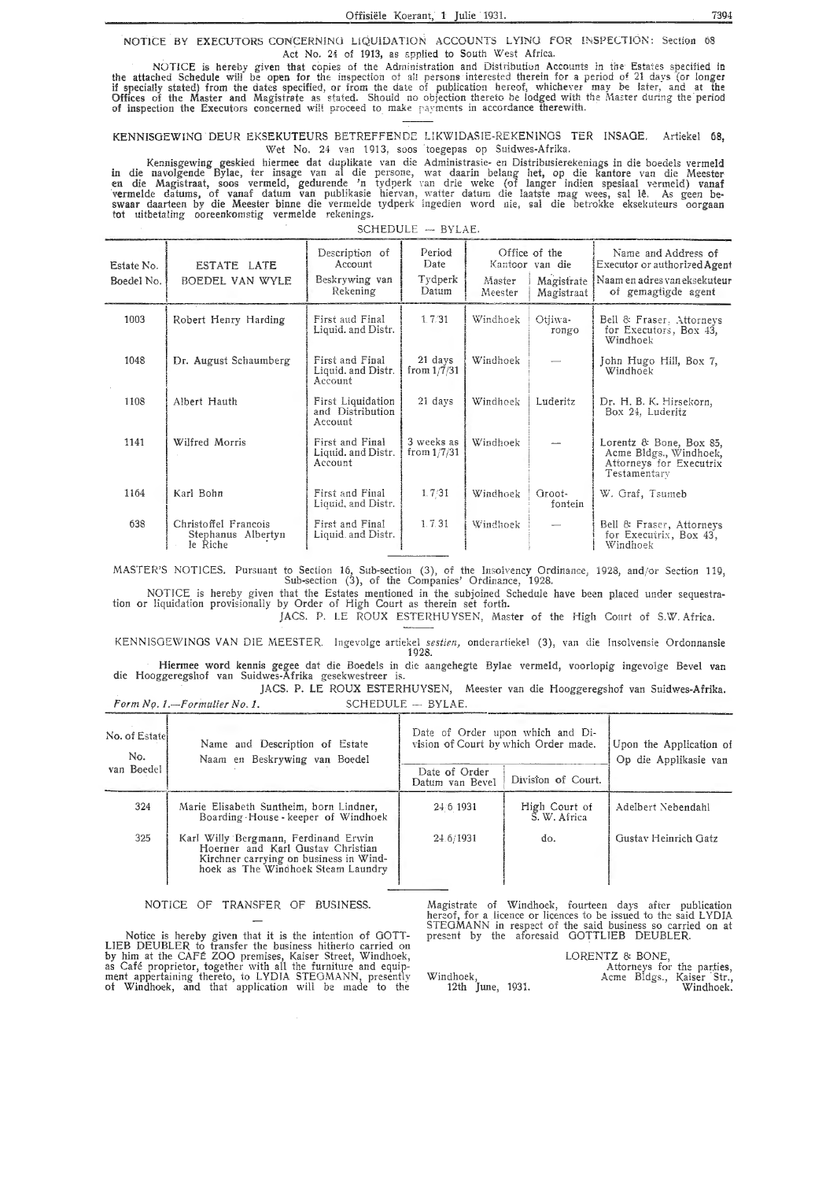NOTICE BY EXECUTORS CONCERNING LIQUIDATION ACCOUNTS LYING FOR INSPECTION: Section 68 Act No. 24 of 1913, as applied to South West Africa.

NOTICE is hereby given that copies of the Administration and Distribution Accounts in the Estates specified in NOTICE is nervoy given that copies of the Administration and Distribution Accounts in the Estates specified in<br>the attached Schedule will be open for the inspection of all persons interested therein for a period of 21 days

KENNISGEWING DEUR EKSEKUTEURS BETREFFENDE LIKWIDASIE-REKENINGS TER INSAGE. Artiekel 68, Wet No. 24 van 1913, soos toegepas op Suidwes-Afrika.

Kennisgewing geskied hiermee dat duplikate van die Administrasie- en Distribusierekenings in die boedels vermeld<br>in die navolgende Bylae, ter insage van al die persone, wat daarin belang het, op die kantore van die Meester

SCHEDULE - BYLAE.

| Estate No.<br>Boedel No. | ESTATE LATE<br>BOEDEL VAN WYLE                         | Description of<br>Account<br>Beskrywing van<br>Rekening | Period<br>Date<br>Tydperk<br>Datum | Master<br>Meester | Office of the<br>Kantoor van die<br>Magistrate<br>Magistraat | Name and Address of<br>Executor or authorized Agent<br>Naam en adres van eksekuteur<br>of gemagtigde agent |
|--------------------------|--------------------------------------------------------|---------------------------------------------------------|------------------------------------|-------------------|--------------------------------------------------------------|------------------------------------------------------------------------------------------------------------|
| 1003                     | Robert Henry Harding                                   | First aud Final<br>Liquid. and Distr.                   | 1.7/31                             | Windhoek          | Otjiwa-<br>rongo                                             | Bell & Fraser, Attorneys<br>for Executors, Box 43,<br>Windhoek                                             |
| 1048                     | Dr. August Schaumberg                                  | First and Final<br>Liquid. and Distr.<br>Account        | 21 days<br>from $1/7/31$           | Windhoek          |                                                              | John Hugo Hill, Box 7,<br>Windhoek                                                                         |
| 1108                     | Albert Hauth                                           | First Liquidation<br>and Distribution<br>Account        | 21 days                            | Windhoek          | Luderitz                                                     | Dr. H. B. K. Hirsekorn,<br>Box 24, Luderitz                                                                |
| 1141                     | Wilfred Morris                                         | First and Final<br>Liquid. and Distr.<br>Account        | 3 weeks as<br>from $1/7/31$        | Windhoek          |                                                              | Lorentz & Bone, Box 85,<br>Acme Bldgs., Windhoek,<br>Attorneys for Executrix<br>Testamentary               |
| 1164                     | Karl Bohn                                              | First and Final<br>Liquid, and Distr.                   | 1.7/31                             | Windhoek          | Groot-<br>fontein                                            | W. Graf, Tsumeb                                                                                            |
| 638                      | Christoffel Francois<br>Stephanus Albertyn<br>le Riche | First and Final<br>Liquid and Distr.                    | 1.7.31                             | Windhoek          | $\overline{\phantom{0}}$                                     | Bell & Fraser, Attorneys<br>for Executrix, Box 43,<br>Windhoek                                             |

MASTER'S NOTICES. Pursuant to Section 16, Sub-section (3), of the Insolvency Ordinance, 1928, and/or Section 119,<br>Sub-section (3), of the Companies' Ordinance, 1928.

NOTICE is hereby given that the Estates mentioned in the subjoined Schedule have been placed under sequestration or liquidation provisionally by Order of High Court as therein set forth.

JACS. P. LE ROUX ESTERHUYSEN, Master of the High Court of S.W. Africa.

KENNISGEWINGS VAN DIE MEESTER. Ingevolge artiekel sestien, onderartiekel (3), van die Insolvensie Ordonnansie 1928.

Hiermee word kennis gegee dat die Boedels in die aangehegte Bylae vermeld, voorlopig ingevolge Bevel van die Hooggeregshof van Suidwes-Afrika gesekwestreer is. JACS. P. LE ROUX ESTERHUYSEN, Meester van die Hooggeregshof van Suidwes-Afrika.

SCHEDULE - BYLAE.

|                       | Form No. 1.-Formulier No. 1.                                                                                                                              | SCHEDULE - BYLAE.                                                        |                                                  |                      |
|-----------------------|-----------------------------------------------------------------------------------------------------------------------------------------------------------|--------------------------------------------------------------------------|--------------------------------------------------|----------------------|
| No. of Estatel<br>No. | Name and Description of Estate<br>Naam en Beskrywing van Boedel                                                                                           | Date of Order upon which and Di-<br>vision of Court by which Order made. | Upon the Application of<br>Op die Applikasie van |                      |
| van Boedel            |                                                                                                                                                           | Date of Order<br>Datum van Bevel                                         | Division of Court.                               |                      |
| 324                   | Marie Elisabeth Suntheim, born Lindner,<br>Boarding House - keeper of Windhoek                                                                            | 24 6 1931                                                                | High Court of<br>S. W. Africa                    | Adelbert Nebendahl   |
| 325                   | Karl Willy Bergmann, Ferdinand Erwin<br>Hoerner and Karl Gustav Christian<br>Kirchner carrying on business in Wind-<br>hoek as The Windhoek Steam Laundry | 24.6/1931                                                                | do.                                              | Gustav Heinrich Gatz |

NOTICE OF TRANSFER OF BUSINESS.

Notice is hereby given that it is the intention of GOTT-<br>LIEB DEUBLER to transfer the business hitherto carried on<br>by him at the CAFÉ ZOO premises, Kaiser Street, Windhoek,<br>as Café proprietor, together with all the furnitu

Magistrate of Windhoek, fourteen days after publication<br>hereof, for a licence or licences to be issued to the said LYDIA<br>STEGMANN in respect of the said business so carried on at present by the aforesaid GOTTLIEB DEUBLER.

LORENTZ & BONE, VIZ & BOINE,<br>Attorneys for the parties,<br>Acme Bldgs., Kaiser Str.,<br>Windhoek. Windhoek,<br>12th June, 1931.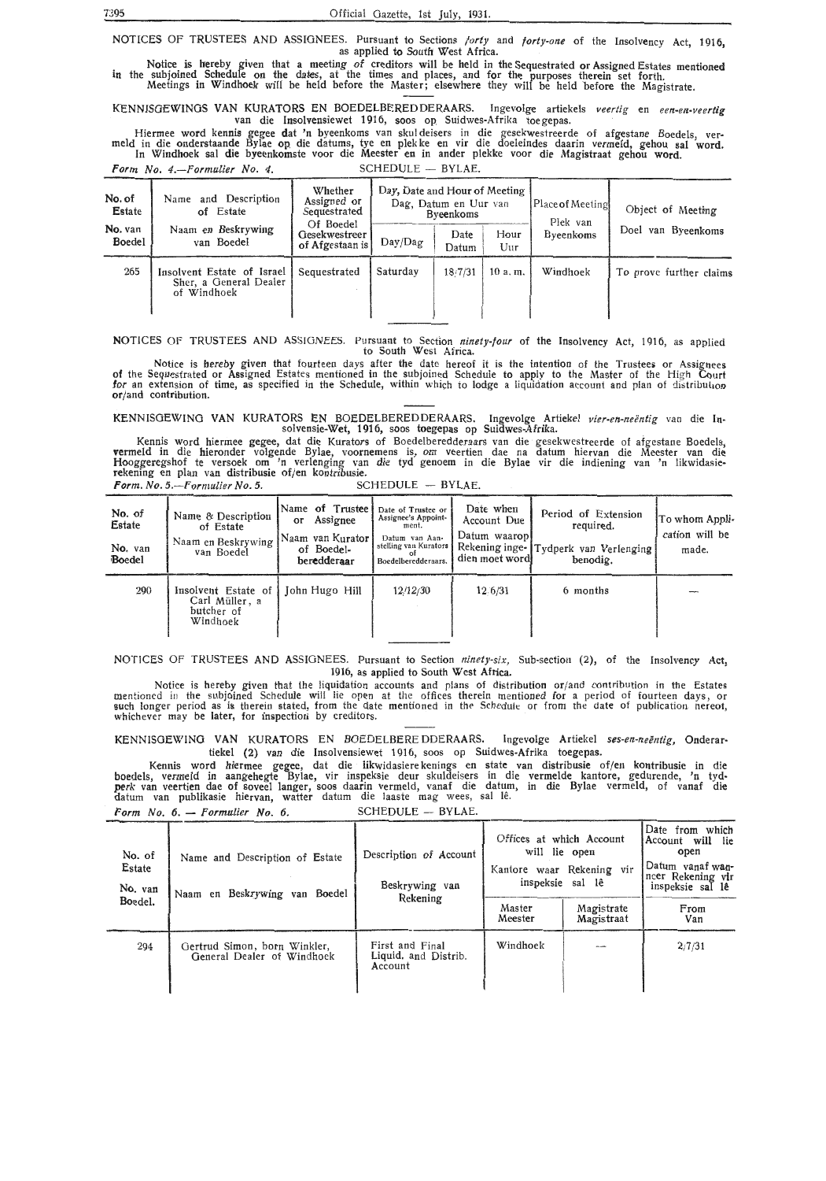7395 Official Gazette, 1st July, 1931.

NOTICES OF TRUSTEES AND ASSIGNEES. Pursuant to Sections *forty* and *forty-one* of the Insolvency Act, 1916,<br>as applied to South West Africa. as applied to South West Africa.

Notice is hereby given that a meeting of creditors will be held in the Sequestrated or Assigned Estates mentioned in the subjoined Schedule on the dates, at the times and places, and for the purposes therein set forth. Meetings in Windhoek will be held before the Master; elsewhere they will be held before the Magistrate.

KENNISOEWINOS VAN KURATORS EN BOEDELBEREDDERAARS. Ingevolge artiekels *veertig* en *een.-en-veertig*  van die Insolvensiewet 1916, soos op Suidwes-Afrika toe gepas.

Hiermee word kennis gegee dat 'n byeenkoms van skuldeisers in die gesekwestreerde of afgestane Boedels, verneid<br>meld in die onderstaande Bylae op die datums, tye en plekke en vir die doeleindes daarin vermeld, gehou sal wo In Windhoek sal die byeenkomste voor die Meester en in ander plekke voor die Magistraat gehou word.

Form No. 4.-Formulier No. 4. SCHEDULE - BYLAE.

| No. of<br>Estate<br>No. van<br><b>Boedel</b> | Name and Description<br>of Estate<br>Naam en Beskrywing<br>van Boedel | Whether<br>Assigned or<br>Sequestrated<br>Of Boedel<br><b>Gesekwestreer</b><br>of Afgestaan is | Day, Date and Hour of Meeting<br>Day/Dag | Dag, Datum en Uur van<br>Byeenkoms<br>Date | Hour             | [Place of Meeting]<br>Plek van<br><b>Byeenkoms</b> | Object of Meeting<br>Doel van Byeenkoms |
|----------------------------------------------|-----------------------------------------------------------------------|------------------------------------------------------------------------------------------------|------------------------------------------|--------------------------------------------|------------------|----------------------------------------------------|-----------------------------------------|
| 265                                          | Insolvent Estate of Israel<br>Sher, a General Dealer<br>of Windhoek   | Sequestrated                                                                                   | Saturday                                 | Datum<br>18/7/31                           | $U$ ur<br>10a.m. | Windhoek                                           | To prove further claims                 |

NOTICES OF TRUSTEES AND ASSIGNEES. Pursuant to Section *ninety-four* of the Insolvency Act, 1916, as applied to South West Africa. '

Notice is hereby given that fourteen days after the date hereof it is the intention of the Trustees or Assignees of the Sequestrated or Assigned Estates mentioned in the subjoined Schedule to apply to the Master of the High Court. for an extension of time, as specified in the Schedule, within which to lodge a liquidation account and plan of distributaoo or/and contribution.

KENNISGEWING VAN KURATORS EN BOEDELBEREDDERAARS. Ingevolge Artiekel *vier-en-neëntig* van die Insolvensie-Wet, 1916, soos toegepas op Suidwes-Afrika.

Kennis word hiermee gegee, dat die Kurators of Boedelberedderaars van die gesekwestreerde of afgestane Boedels, vermeld in die hieronder volgende Bylae, voornemens is, om veertien dae na datum hiervan die Meester van die Hooggeregshof te versoek om 'n verlenging van die tyd genoem in die Bylae vir die indiening van 'n likwidasierekening en plan van distribusie of/en kontribusie. *Form. No. 5.*-*Formulier No. 5.* 

| No. of<br>Estate<br>No. van<br>Boedel | Name & Description<br>of Estate<br>Naam en Beskrywing<br>van Boedel | Name of Trustee<br>Assignee<br>or<br>Naam van Kurator<br>of Boedel-<br>beredderaar | Date of Trustee or<br>Assignee's Appoint-<br>ment.<br>Datum van Aan-<br>stelling van Kurators<br>Boedelberedderaars. | Date when<br>Account Due<br>Datum waarop<br>dien moet word | Period of Extension<br>required.<br>Rekening inge- Tydperk van Verlenging<br>benodig. | To whom Appli-<br>cation will be<br>made. |
|---------------------------------------|---------------------------------------------------------------------|------------------------------------------------------------------------------------|----------------------------------------------------------------------------------------------------------------------|------------------------------------------------------------|---------------------------------------------------------------------------------------|-------------------------------------------|
| 290                                   | Insolvent Estate of<br>Carl Müller, a<br>butcher of<br>Windhoek     | John Hugo Hill                                                                     | 12/12/30                                                                                                             | 12.6/31                                                    | 6 months                                                                              |                                           |

NOTICES OF TRUSTEES **AND** ASSIGNEES. Pursuant to Section *ninety-six,* Sub-section (2), of the Insolvency **Act,**  1916, as applied to South West Africa.

Notice is hereby given that the liquidation accounts and plans of distribution or/and contribution in the Estates<br>mentioned in the subjoined Schedule will lie open at the offices therein mentioned for a period of fourteen

KENNISOEWING VAN KURATORS EN BOEDELBEREDDERAARS. lngevolge Artiekel *ses-en-neentig,* Onderartiekel (2) van die Insolvensiewet 1916, soos op Suidwes-Afrika toegepas.

Kennis word hiermee gegec, dat die likwidasiere kenings en state van distribusie of/en kontribusie in die boedels, vermeld in aangehegte Bylae, vir inspeksie deur skuldeisers in die vermelde kantore, gedurende, 'n tyd• perk van veertien dae of soveel !anger, soos daarin vermeld, vanaf die datum, in die Bylae vermeld, of vanaf die datum van publikasie hiervan, watter datum die laaste mag wees, sal le.

| Form $No. 6. - Formulier No. 6.$ | SCHEDULE - BYLAE. |
|----------------------------------|-------------------|
|----------------------------------|-------------------|

| No. of<br>Estate<br>No. van<br>Boedel. | Name and Description of Estate<br>Naam en Beskrywing van Boedel | Description of Account<br>Beskrywing van<br>Rekening | Offices at which Account<br>will lie open<br>Kantore waar Rekening vir<br>inspeksie sal lê |                          | Date from which<br>Account will lie<br>open<br>Datum vanaf wan-<br>ncer Rekening vir<br>inspeksie sal lê |
|----------------------------------------|-----------------------------------------------------------------|------------------------------------------------------|--------------------------------------------------------------------------------------------|--------------------------|----------------------------------------------------------------------------------------------------------|
|                                        |                                                                 |                                                      | Master<br>Meester                                                                          | Magistrate<br>Magistraat | From<br>Van                                                                                              |
| 294                                    | Gertrud Simon, born Winkler,<br>General Dealer of Windhoek      | First and Final<br>Liquid, and Distrib.<br>Account   | Windhoek                                                                                   |                          | 2/7/31                                                                                                   |